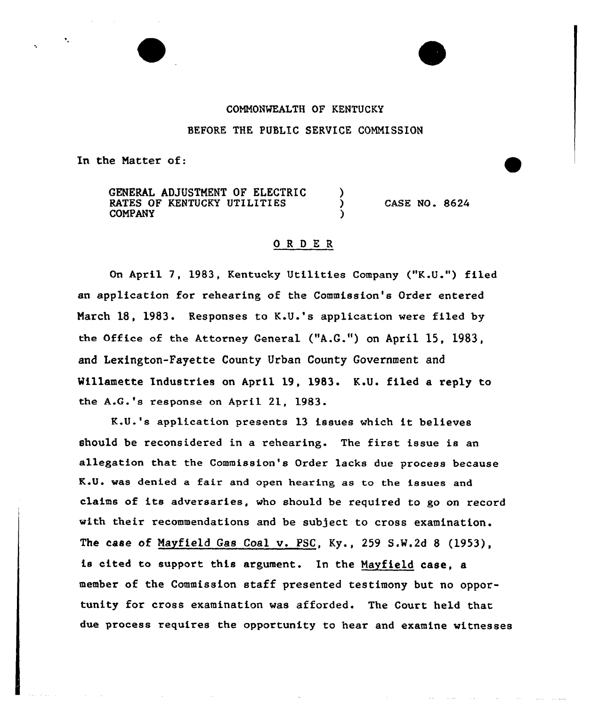#### COMMONWEALTH OF KENTUCKY

#### BEFORE THE PUBLIC SERVICE COMMISSION

In the Natter of:

GENERAL ADJUSTMENT OF ELECTRIC RATES OF KENTUCKY UTILITIES COMPANY CASE NO. 8624

## ORDER

On April 7, 1983, Kentucky Utilities Company ("K.U.") filed an application for rehearing of the Commission's Order entered Narch 18, 1983. Responses to K.U.'s application were filed by the Office of the Attorney General ("A.G.") on April 15, 1983, and Lexington-Fayette County Urban County Government and Willamette Industries on April 19, 1983. K.U. filed a reply to the A.G.'s response on April 21, 1983.

K.U.'s application presents 13 issues which it believes should be reconsidered in a rehearing. The first issue is an allegation that the Commission's Order lacks due process because K.U. was denied a fair and open hearing as to the issues and claims of its adversaries, who should be required to go on record with their recommendations and be subject to cross examination. The case of Nayfield Gas Coal v. PSC, Ky., 259 S.W.2d <sup>8</sup> (1953}, is cited to support this argument. In the Mayfield case, a member of the Commission staff presented testimony but no opportunity for cross examination was afforded. The Court held that due process requires the opportunity to hear and examine witnesses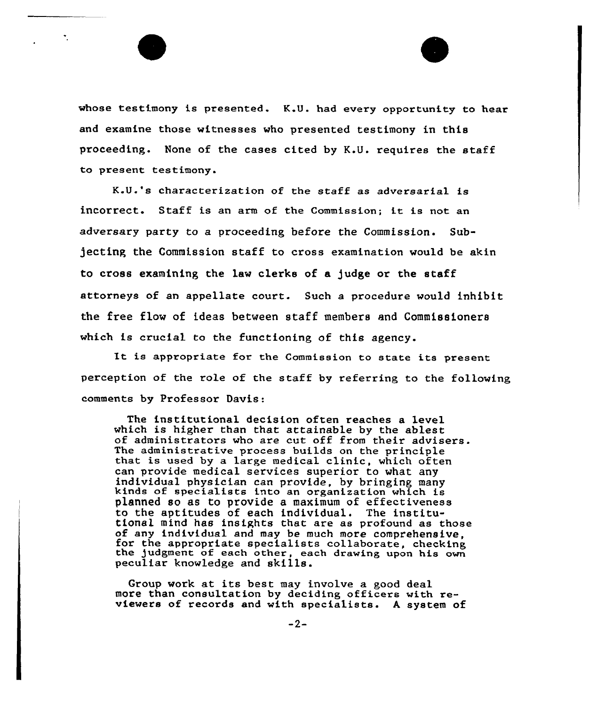whose testimony is presented. K.U. had every opportunity to hear and examine those witnesses who presented testimony in this proceeding. None of the cases cited by K.U. requires the staff to present testimony.

K.U.'s characterization of the staff as adversarial is incorrect. Staff is an arm of the Commission; it is not an adversary party to a proceeding before the Commission. Subjecting the Commission staff to cross examination would be akin to cross examining the law clerks of a )udge or the staff attorneys of an appellate court. Such a procedure would inhibit the free flow of ideas between staff members and Commiseioners which is crucial to the functioning of this agency.

It is appropriate for the Commission to state its present perception of the role of the staff by referring to the following comments by Professor Davis:

The institutional decision often reaches a level which is higher than that attainable by the ablest of administrators who are cut off from their advisers.<br>The administrative process builds on the principle that is used by a large medical clinic, which often can provide medical services superior to what any<br>individual physician can provide, by bringing many kinds of specialists into an organization which is planned so as to provide a maximum of effectiveness to the aptitudes of each individual. The institu-<br>tional mind has insights that are as profound as those<br>of any individual and may be much more comprehensive. for the appropriate specialists collaborate, checking the judgment of each other, each drawing upon his own peculiar knowledge and skills.

Group work at its best may involve a good deal more than consultation by deciding officers with reviewers of records and with specialists. <sup>A</sup> system of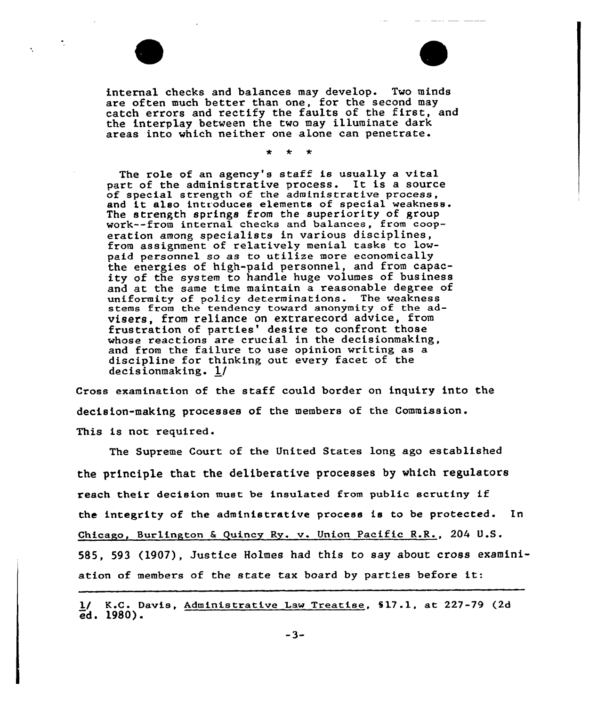

internal checks and balances may develop. Two minds are often much better than one, for the second may catch errors and rectify the faults of the first, and the interplay between the two may illuminate dark areas into which neither one alone can penetrate.

The role of an agency's staff is usually a vital part of the administrative process. It is <sup>a</sup> source of special strength of the administrative process, and it also introduces elements of special weakness. The strength springs from the superiority of group work--from internal checks and balances, from cooperation among specialists in various disciplines, from assignment of relatively menial tasks to lowpaid personnel so as to utilize more economically the energies of high-paid personnel, and from capacity of the system to handle huge volumes of business and at the same time maintain a reasonable degree of uniformity of policy determinations. The weakness stems from the tendency toward anonymity of the advisers, from reliance on extrarecord advice, from frustration of parties' desire to confront those whose reactions are crucial in the decisionmaking, and from the failure to use opinion writing as a discipline for thinking out every facet of the decisionmaking. l/

Cross examination of the staff could border on inquiry into the decision-making processes of the members of the Commission. This is not required.

The Supreme Court of the United States long ago established the principle that the deliberative processes by which regulators reach their decision must be insulated from public scrutiny if the integrity of the administrative process is to be protected. In Chicago, Bur1ington 6 Quincg Ry. v. Union Pacific R.R., 204 U.S. 585, 593 (l907), Justice Holmes had this to say about cross examiniation of members of the state tax board by parties before it:

1/ K.C. Davis, Administrative Law Treatise, \$17.1, at 227-79 (2d ed. 1980).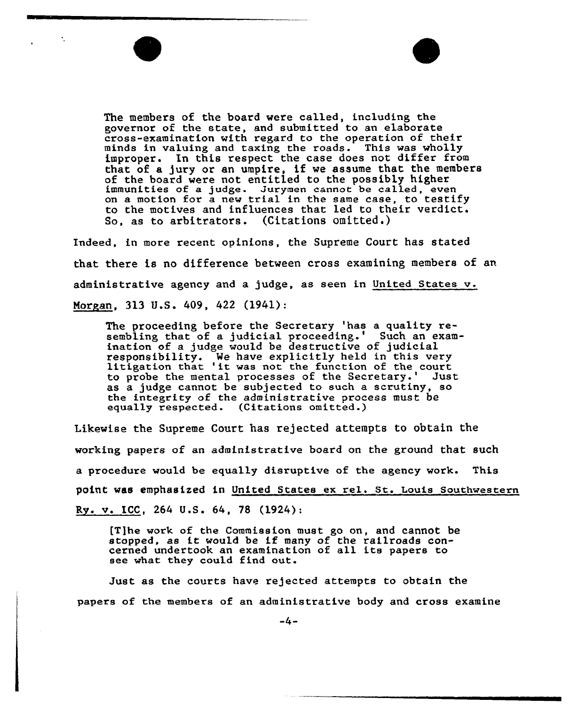

improper. In this respect the case does not differ from that of a jury or an umpire, if we assume that the members of the board were not entitled to the possibly higher immunities of a judge. Jurymen cannot be called, even raducties of a judge. Survain cannot be called, even<br>on a motion for a new trial in the same case, to testif to the motives and influences that led to their verdict. So, as to arbitrators. (Citations omitted.)

Indeed, in more recent opinions, the Supreme Court has stated that there is no difference between cross examining members of an administrative agency and a judge, as seen in United States v. Morgan, 313 U.S.  $409, 422$  (1941):

The proceeding before the Secretary 'has a quality resembling that of a judicial proceeding.' ination of a judge would be destructive of judicial responsibility. Me have explicitly held in this very litigation that 'it was not the function of the court to probe the mental processes of the Secretary.' Just as a judge cannot be subjected to such a scrutiny, so the integrity of the administrative process must be equally respected. (Citations omitted.) equally respected.

Likewise the Supreme Court has rejected attempts to obtain the working papers of an administrative board on the ground that such a procedure would be equally disruptive of the agency work. This point was emphasised in United states ex rel. st. Louis southwestern Ry. v. ICC, 264 U.S. 64, 78 {1924):

I'T]he work of the Commission must go on, and cannot be stopped, as it would be if many of the railroads concerned undertook an examination of all its papers to see what they could find out.

Just as the courts have rejected attempts to obtain the papers of the members of an administrative body and cross examine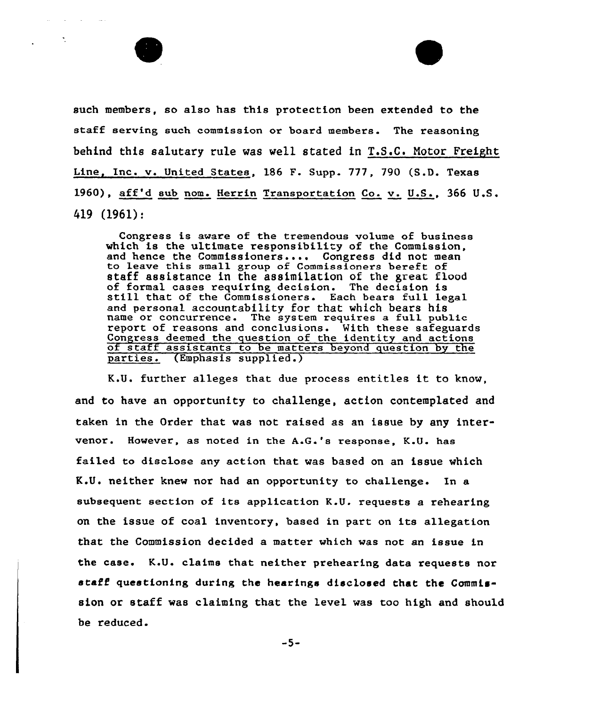

such members, so also has this protection been extended to the staff serving such commission or board members. The reasoning behind this salutary rule was well stated in T.S.C. Notor Freight Line, Inc. v. United States, 186 F. Supp. 777, 790 (S.D. Texas 1960), aff'd sub nom. Herrin Transportation Co. v. U.S., 366 U.S.  $419(1961):$ 

Congress is aware of the tremendous volume of business which is the ultimate responsibility of the Commission, and hence the Commissioners.... Congress did not mean to leave this small group of Commissioners bereft of staff assistance in the assimilation of the great flood of formal cases requiring decision. The decision is still that of the Commissioners. Each bears full legal and personal accountability for that which bears his name or concurrence. The system requires a full public report of reasons and conclusions. With these safeguards<br>Congress deemed the question of the identity and actions of staff assistants to be matters beyond question by the parties. (Emphasis supplied.)

K.U. further alleges that due process entitles it to know, and to have an opportunity to challenge, action contemplated and taken in the Order that was not raised as an issue by any intervenor. However, as noted in the A.G.'s response, K.U. has failed to disclose any action that was based on an issue which K.U. neither knew nor had an opportunity to challenge. In a subsequent section of its application K.U. requests a rehearing on the issue of coal inventory, based in part on its allegation that the Commission decided a matter which was not an issue in the case. K.U. claims that neither prehearing data requests nor staff questioning during the hearings disclosed that the Commission or staff was claiming that the level was too high and should be reduced.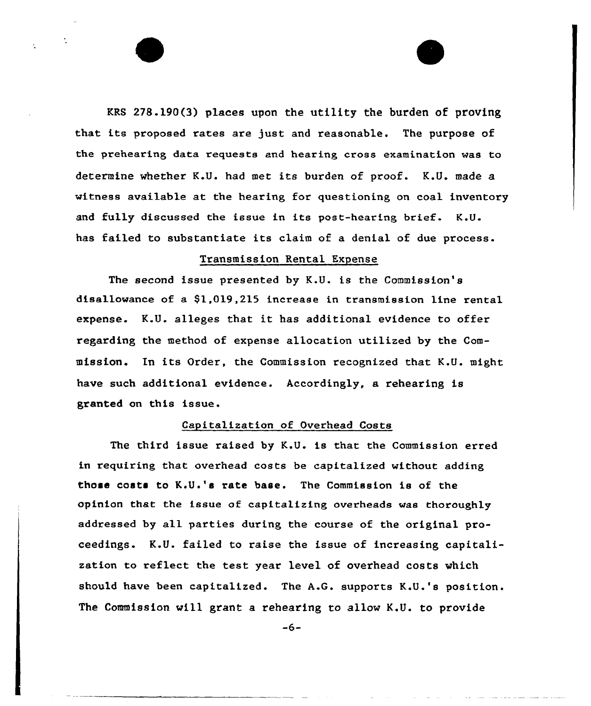KRS 278.190(3) places upon the utility the burden of proving that its proposed rates are just and reasonable. The purpose of the prehearing data requests and hearing cross examination was to determine whether K.U. had met its burden of proof. K.U. made a witness available at the hearing for questioning on coal inventory and fully discussed the issue in its post-hearing brief. K.U. has failed to substantiate its claim of a denial of due process.

#### Transmission Rental Expense

The second issue presented by K.U. is the Commission's disallowance of a \$1,019,215 increase in transmission line rental expense. K.U. alleges that it has additional evidence to offer regarding the method of expense allocation utilized by the Commission. In its Order, the Commission recognized that K.U. might have such additional evidence. Accordingly, a rehearing is granted on this issue.

## Capitalization of Overhead Costs

The third issue raised by K.U. is that the Commission erred in requiring that overhead costs be capitalized without adding those costs to K.U .'s rate base. The Commission is of the opinion that the issue of capitalizing overheads was thoroughly addressed by all parties during the course of the original proceedings. K.U. failed to raise the issue of increasing capitalization to reflect the test year level of overhead costs which should have been capitalized. The A.G. supports K.U.'s position. The Commission will grant a rehearing to allow K.U. to provide

 $-6-$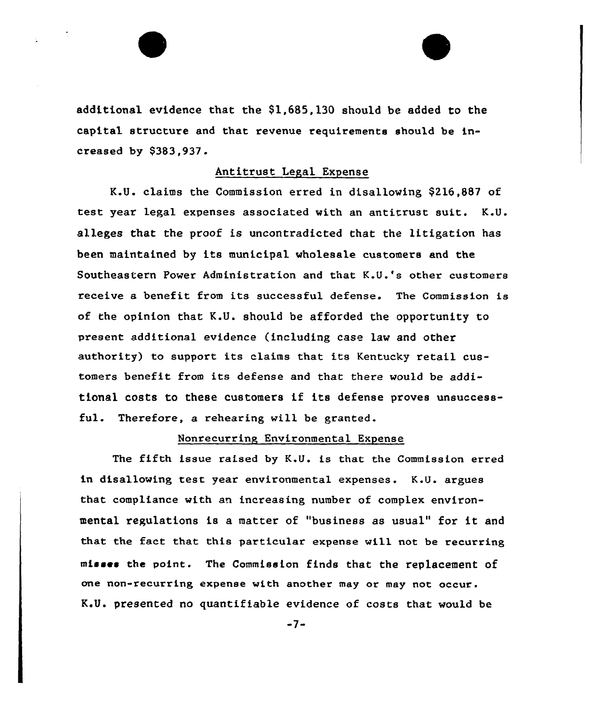additional evidence that the \$1,685,130 should be added to the capital structure and that revenue requirements should be increased by \$383,937-

#### Antitrust Legal Expense

K.U. claims the Commission erred in disallowing \$216,887 of test year legal expenses associated with an antitrust suit. K.V. alleges that the proof is uncontradicted that the litigation has been maintained by its municipal wholesale customers and the Southeastern Power Administration and that K.U.'s other customers receive a benefit from its successful defense. The Commission is of the opinion that K.U. should be afforded the opportunity to present additional evidence (including case law and other authority) to support its claims that its Kentucky retail customers benefit from its defense and that there would be additional costs to these customers if its defense proves unsuccessful. Therefore, a rehearing will be granted.

#### Nonrecurring Environmental Expense

The fifth issue raised by K.U. is that the Commission erred in disallowing test year environmental expenses. K.U. argues that compliance with an increasing number of complex environmental regulations is <sup>a</sup> matter of "business as usual" for it and that the fact that this particular expense will not be recurring mieeee the point. The Commission finds that the rep1acement of one non-recurring expense with another may or may not occur. K.U. presented no quantifiable evidence of costs that would be

 $-7-$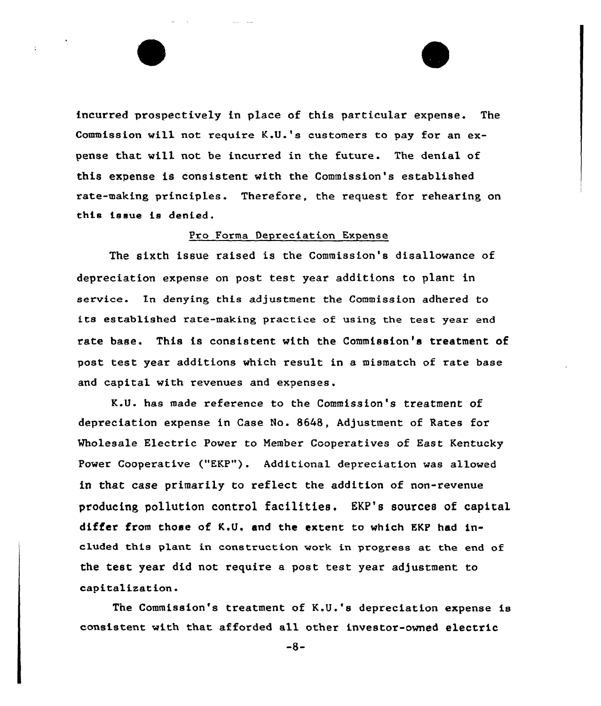incurred prospectively in place of this particular expense. The Commission will not require K.U.'s customers to pay for an expense that will not be incurred in the future. The denial of this expense is consistent with the Commission's established rate-making principles. Therefore, the request for rehearing on this issue ie denied.

#### Pro Forma Depreciation Expense

The sixth issue raised is the Commission's disallowance of depreciation expense on post test year additions to plant in service. In denying this adjustment the Commission adhered to its established rate-making practice of using the test year end rate base. This is consistent with the Commission's treatment of post test year additions which result in a mismatch of rate base and capital with revenues and expenses.

K.U. has made reference to the Commission's treatment of depreciation expense in Case No. 8648, Adjustment of Rates for Wholesale Electric Power to Member Cooperatives of East Kentucky Power Cooperative ("EKP"). Additional depreciation was allowed in that case primarily to reflect the addition of non-revenue producing pollution control facilities. EKP's sources of capital differ from those of K.U. snd the extent to which EKP had included this plant in construction work in progress at the end of the test year did not require a post test year adjustment to capitalization.

The Commission's treatment of K.U.'s depreciation expense is consistent with that afforded all other investor-owned electric

 $-8-$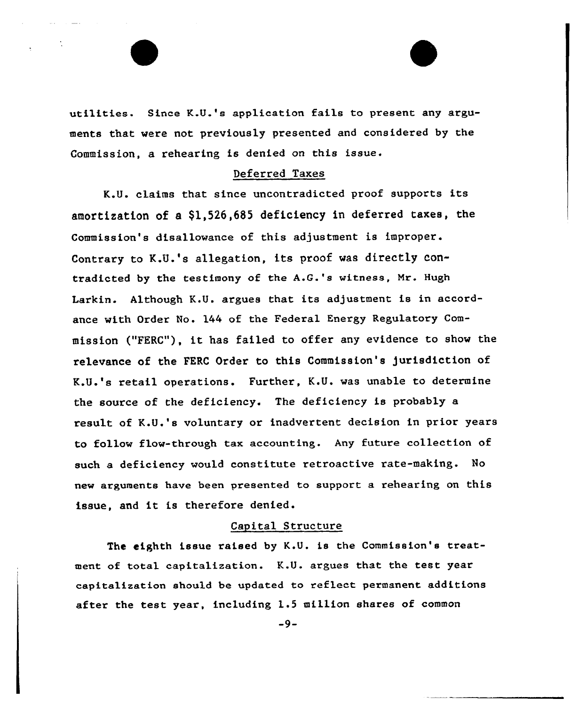utilities. Since K.U.'s application fails to present any arguments that were not previously presented and considered by the Commission, a rehearing is denied on this issue.

# Deferred Taxes

K.U. claims that since uncontradicted proof supports its amortization of a \$1,526,685 deficiency in deferred taxes, the Commission's disallowance of this adjustment is improper. Contrary to K.U.'s allegation, its proof was directly contradicted by the testimony of the A.G.'s witness, Mr. Hugh Larkin. Although K.U. argues that its adjustment is in accordance with Order No. 144 of the Federal Energy Regulatory Commission ("FERC"), it has failed to offer any evidence to show the relevance of the FERC Order to this Commission's jurisdiction of K.U.'s retail operations. Further, K.U. was unable to determine the source of the deficiency. The deficiency is probably a result of K.U.'s voluntary or inadvertent decision in prior years to follow flow-through tax accounting. Any future collection of such a deficiency would constitute retroactive rate-making. No new arguments have been presented to support a rehearing on this issue, and it is therefore denied.

#### Capital Structure

The eighth issue raised by K.U. is the Commission's treatment of total capitalization. K.U. argues that the test year capitalization should be updated to reflect permanent additions after the test year, including 1.5 million shares of common

-9-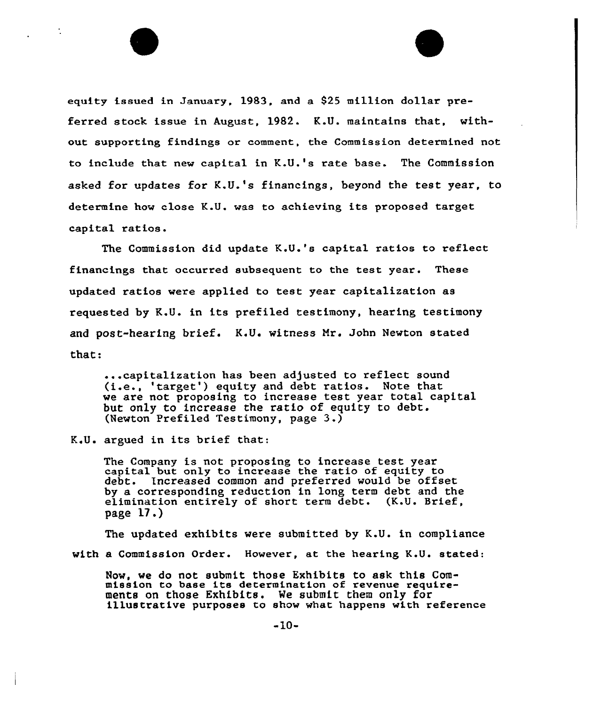equity issued in January, 1983, and a \$25 million dollar preferred stock issue in August, 1982. K.U. maintains that, without supporting findings or comment, the Commission determined not to include that new capital in K.U.'s rate base. The Commission asked for updates for K.U.'s financings, beyond the test year, to determine how close K.U. was to achieving its proposed target capital ratios.

The Commission did update K.U.'s capital ratios to reflect financings that occurred subsequent to the test year. These updated ratios were applied to test year capitalization as requested by K.U. in its prefiled testimony, hearing testimony and post-hearing brief. K.U. witness Mr. John Newton stated that:

...capitalization has been adjusted to reflect sound (i.e., 'target') equity and debt ratios. Note that we are not proposing to increase test year total capital but only to increase the ratio of equity to debt. (Newton Prefiled Testimony, page 3.)

K.U. argued in its brief that:

The Company is not proposing to increase test year capital but only to increase the ratio of equity to Increased common and preferred would be offset by a corresponding reduction in long term debt and the elimination entirely of short term debt. (K.U. Brief, page 17.)

The updated exhibits were submitted by K.U. in compliance with a Commission Order. However, at the hearing K.U. stated:

Now, we do not submit those Exhibits to ask this Commission to base its determination of revenue require-<br>ments on those Exhibits. We submit them only for illustrative purposes to show what happens with reference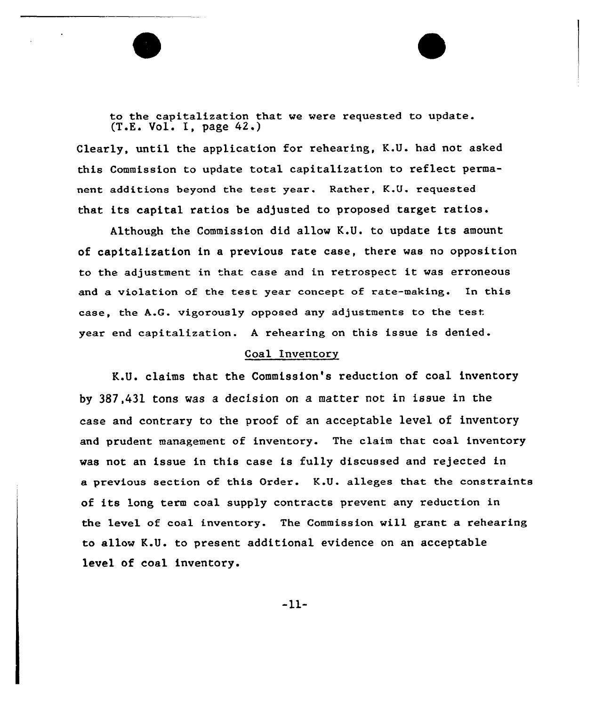to the capitalization that we were requested to update.  $(T.E. Vol. I. page 42.)$ 

Clearly, until the application for rehearing, K.U. had not asked this Commission to update total capitalization to reflect permanent additions beyond the test year. Rather, K.U. requested that its capital ratios be adjusted to proposed target ratios.

Although the Commission did allow K.U. to update its amount of capitalization in a previous rate case, there was no opposition to the adjustment in that ease and in retrospect it was erroneous and a violation of the test year concept of rate-making. In this ease, the A.G. vigorously opposed any adjustments to the test year end capitalization. <sup>A</sup> rehearing on this issue is denied.

#### Coal Inventory

K.U. claims that the Commission's reduction of coal inventory by 387,431 tons was a decision on a matter not in issue in the case and contrary to the proof of an acceptable level of inventory and prudent management of inventory. The claim that coal inventory was not an issue in this case is fully discussed and rejected in a previous section of this Order. K.U. alleges that the constraints of its long term coal supply contracts prevent any reduction in the level of coal inventory. The Commission will grant a rehearing to allow K.U. to present additional evidence on an acceptable level of coal inventory.

 $-11-$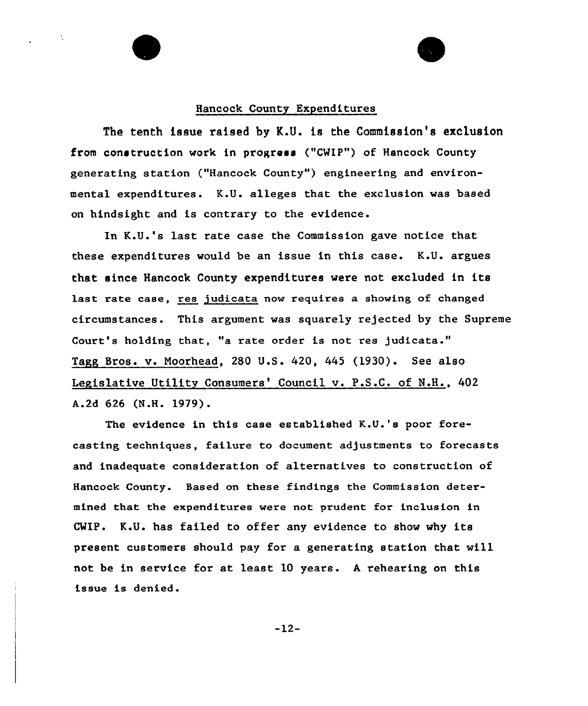#### Hancock County Expenditures

The tenth issue raised by K.U. is the Commission's exclusion from construction work in progress ("CHIP") of Hancock County generating station ("Hancock County") engineering and environmental expenditures. K.U. alleges that the exclusion was based on hindsight and is contrary to the evidence.

In K.U.'s last rate case the Commission gave notice that these expenditures would be an issue in this case. K.U. argues that since Hancock County expenditures were not excluded in its last rate case, res judicata now requires a showing of changed circumstances. This argument was squarely rejected by the Supreme Court's holding that, "a rate order is not res judicata." Tagg Bros. v. Noorhead, 280 U.S. 420, 445 (1930). See also Legislative Utility Consumers' Council v. P.S.C. of N.H., 402 A.2d 626 (N.H. 1979).

The evidence in this case established K.U.'s poor forecasting techniques, failure to document adjustments to forecasts and inadequate consideration of alternatives to construction of Hancock County. Based on these findings the Commission determined that the expenditures were not prudent for inclusion in CWIP. K.U. has failed to offer any evidence to show why its present customers should pay for a generating station that will not be in service for at least 10 years. <sup>A</sup> rehearing on this issue is denied.

 $-12-$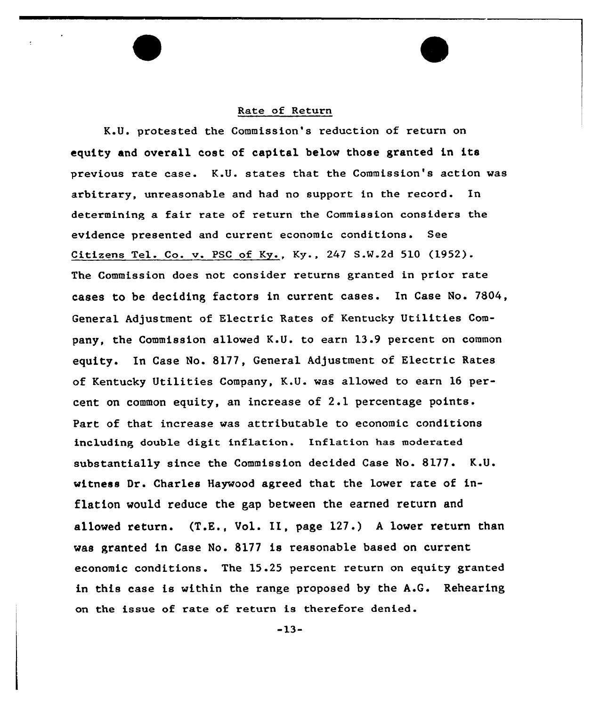#### Rate of Return

K.U. protested the Commission's reduction of return on equity and overall cost of capital below those granted in its previous rate case. K.U. states that the Commission's action was arbitrary, unreasonable and had no support in the record. In determining a fair rate of return the Commission considers the evidence presented and current economic conditions. See Citizens Tel. Co. v. PSC of Ky., Ky., 247 S.W.2d 510 (1952). The Commission does not consider returns granted in prior rate cases to be deciding factors in current cases. In Case No. 7804, General Adjustment of Electric Rates of Kentucky Utilities Company, the Commission allowed K.U. to earn 13.9 percent on common equity. In Case No. 8177, General Adjustment of Electric Rates of Kentucky Utilities Company, K.U. was allowed to earn 16 percent on common equity, an increase of 2.1 percentage points. Part of that increase was attributable to economic conditions including double digit inflation. Inflation has moderated substantially since the Commission decided Case No.  $8177.$  K.U. witness Or. Charles Haywood agreed that the lower rate of inflation would reduce the gap between the earned return and allowed return. (T.E., Vol. II, page 127.) <sup>A</sup> lower return than was granted in Case No. 8177 is reasonable based on current economic conditions. The 15.25 percent return on equity granted in this case is within the range proposed by the A.G. Rehearing on the issue of rate of return is therefore denied.

»13-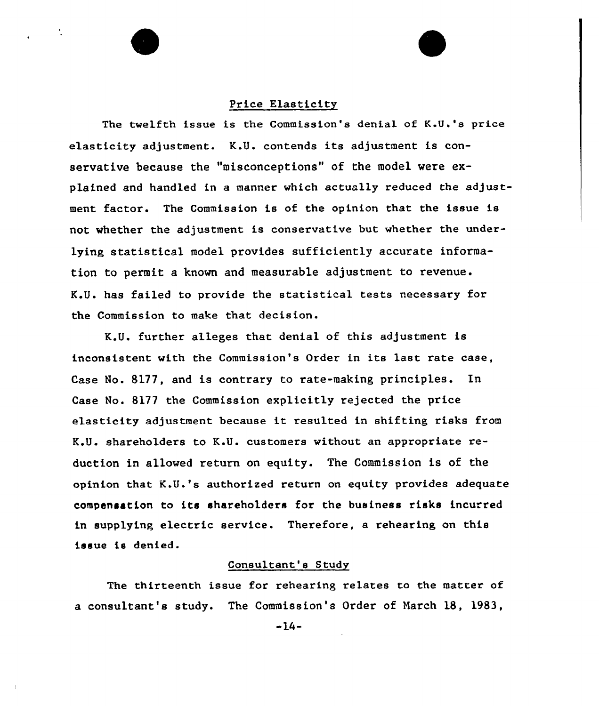#### Price Elasticity

The twelfth issue is the Commission's denial of K.U.'s price elasticity adjustment. K.U. contends its adjustment is conservative because the "misconceptions" of the model were explained and handled in a manner which actually reduced the adjustment factor. The Commission is of the opinion that the issue is not whether the adjustment is conservative but whether the underlying statistical model provides sufficiently accurate information to permit a known and measurable adjustment to revenue. K.U. has failed to provide the statistical tests necessary for the Commission to make that decision.

K.U. further alleges that denial of this adjustment is inconsistent with the Commission's Order in its last rate case, Case No. 8177, and is contrary to rate-making principles. In Case No. 8177 the Commission explicitly rejected the price elasticity adjustment because it resulted in shifting risks from K.U. shareholders to K.U. customers without an appropriate reduction in allowed return on equity. The Commission is of the opinion that K.U.'s authorized return on equity provides adequate compensation to its shareholders for the business risks incurred in supplying electric service. Therefore, a rehearing on this issue is denied.

# Consultant's Study

The thirteenth issue for rehearing relates to the matter of a consultant's study. The Commission's Order of Narch 18, 1983,

 $-14-$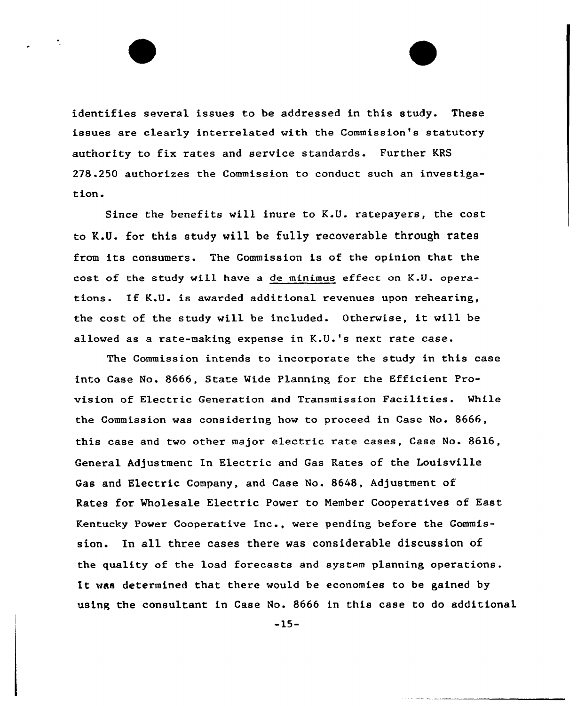identifies several issues to be addressed in this study. These issues are clearly interrelated with the Commission's statutory authority to fix rates and service standards. Further KRS 278 .250 authorizes the Commission to conduct such an investigation.

Since the benefits will inure to K.U. ratepayers, the cost to K.U. for this study will be fu11y recoverable through ratee from its consumers. The Commission is of the opinion that the cost of the study will have a de minimus effect on K.U. operations. If K.U. is awarded additional revenues upon rehearing, the cost of the study will be included. Otherwise, it will be allowed as a rate-making expense in K.U.'s next rate case.

The Commission intends to incorporate the study in this case into Case No. 8666, State Wide Planning for the Efficient Provision of Electric Generation and Transmission Facilities. While the Commission was considering how to proceed in Case No. 8666, this case and two other major electric rate cases, Case No. 8616, General Adjustment In Electric and Gas Rates of the Louisville Gas and Electric Company, and Case No. 8648, Adjustment of Rates for Wholesale Electric Power to Nember Cooperatives of East Kentucky Power Cooperative Inc., were pending before the Commission. In all three cases there was considerable discussion of the quality of the load forecasts and system planning operations. It was determined that there would be economies to be gained by using the consultant in Case No. 8666 in this case to do additional

-15-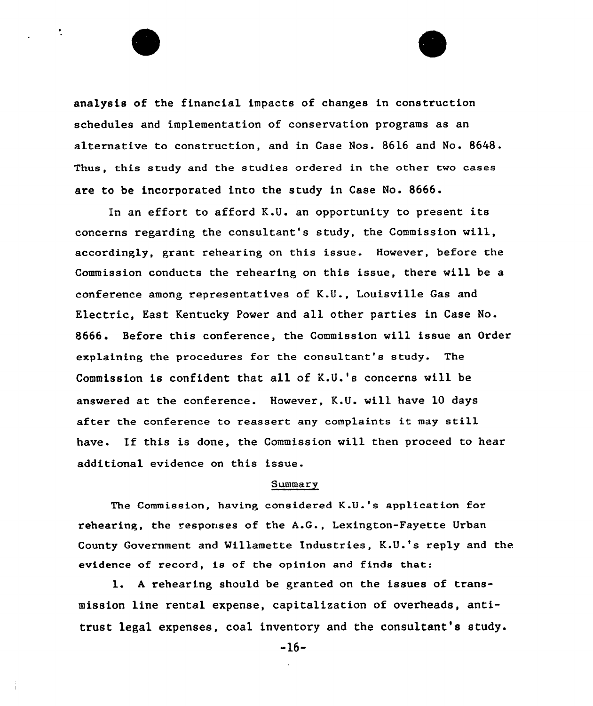analysis of the financial impacts of changes in construction schedules and implementation of conservation programs as an alternative to construction, and in Case Nos. 8616 and No. 8648. Thus, this study and the studies ordered in the other two cases are to be incorporated into the study in Case No. 8666.

÷

In an effort to afford K.U. an opportunity to present its concerns regarding the consultant's study, the Commission will, accordingly, grant rehearing on this issue. However, before the Commission conducts the rehearing on this issue, there will be a conference among representatives of K.U., Louisville Gas and Electric, East Kentucky Power and all other parties in Case No. 8666. Before this conference, the Commission will issue an Order explaining the procedures for the consultant's study. The Commission is confident that all of K.U.'s concerns will be answered at the conference. However, K.U. will have 10 days after the conference to reassert any complaints it may still have. If this is done, the Commission will then proceed to hear additional evidence on this issue.

#### **Summary**

The Commission, having considered K.U.'s application for rehearing, the responses of the A.G., Lexington-Fayette Urban County Government and Willamette Industries, K.U.'s reply and the evidence of record, is of the opinion and finds that:

l. <sup>A</sup> rehearing should be granted on the issues of transmission line rental expense, capitalization of overheads, antitrust legal expenses, coal inventory and the consultant's study.

-16-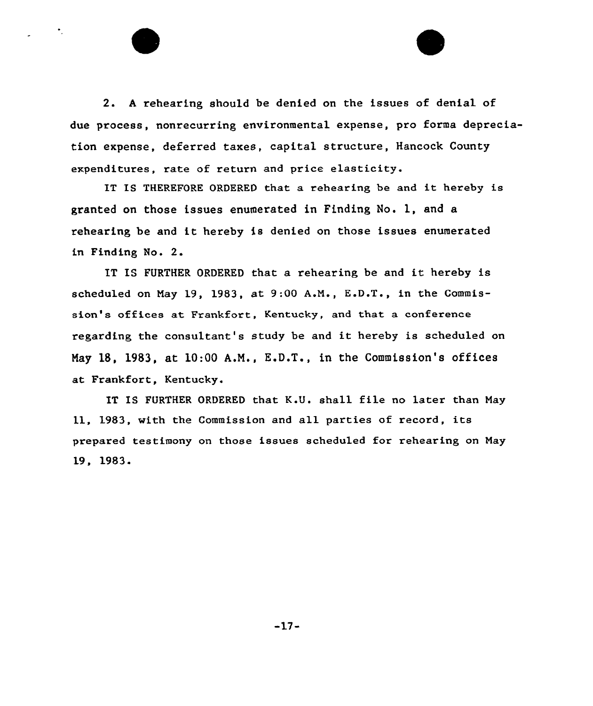2. <sup>A</sup> rehearing should be denied on the issues of denial of due process, nonrecurring environmental expense, pro forma depreciation expense, deferred taxes, capital structure, Hancock County expenditures, rate of return and price elasticity.

 $\bullet$  .

IT IS THEREFORE ORDERED that <sup>a</sup> rehearing be and it hereby is granted on those issues enumerated in Finding No. 1, and a rehearing be and it hereby is denied on those issues enumerated in Finding No. 2.

IT IS FURTHER ORDERED that <sup>a</sup> rehearing be and it hereby is scheduled on May 19, 1983, at 9:00 A.M., E.D.T., in the Commission's offices at Frankfort, Kentucky, and that a conference regarding the consultant's study be and it hereby is scheduled on Nay 18, 1983, at 10:00 A.N., K.D.T., in the Commission's offices at Frankfort, Kentucky.

IT IS FURTHER ORDERED that K.U. shall file no later than May 11, 1983, with the Commission and all parties of record, its prepared testimony on those issues scheduled for rehearing on May 19, 1983.

 $-17-$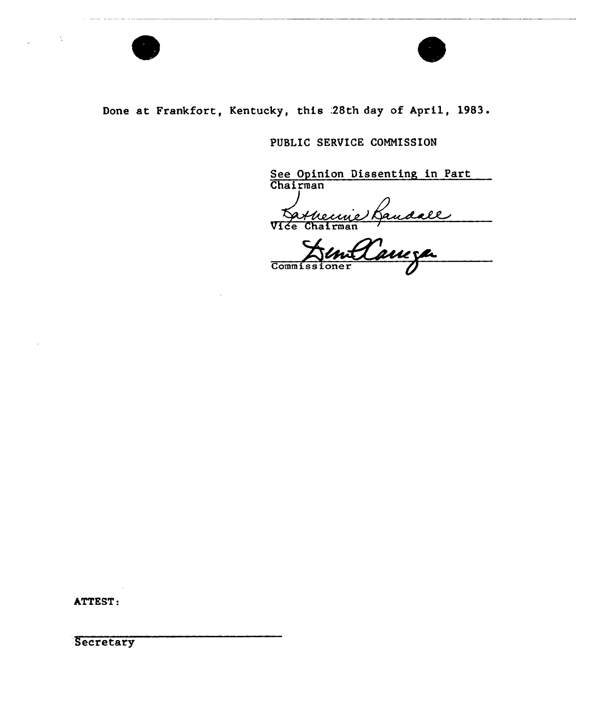

# Done at Frankfort, Kentucky, this : 28th day of April, 1983.

# PUBLIC SERVICE COMMISSION

See Opinion Dissenting in Part **Chairma** 

Vice Chairma

Commissioner

ATTEST:

**Secretary**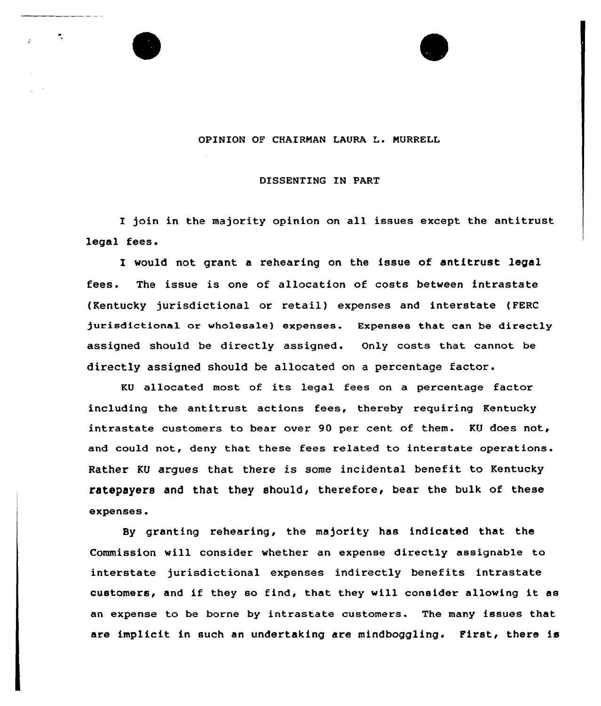#### OPINION OF CHAIRMAN LAURA L. MURRELL

 $\overline{\mathbf{r}}_i$ 

#### DISSENTING IN PART

I join in the majority opinion on all issues except the antitrust legal fees.

would not grant a rehearing on the issue of antitrust legal fees. The issue is one of allocation of costs between intrastate (Kentucky jurisdictional or retail) expenses and interstate {FERC jurisdictional or wholesale) expenses. Expenses that can be directly assigned should be directly assigned. Only costs that cannot be directly assigned should be allocated on <sup>a</sup> percentage factor.

KU allocated most of its legal fees on <sup>a</sup> percentage factor including the antitrust actions fees, thereby requiring Kentucky intrastate customers to bear over 90 per cent of them. KU does not, and could not, deny that these fees related to interstate operations. Rather KU arques that there is some incidental benefit to Kentucky ratepayers and that they should, therefore, bear the bulk of these expenses.

By granting rehearing, the majority has indicated that the Commission vill consider vhether an expense directly assignable to interstate jurisdictional expenses indirectly benefits intrastate customers, and if they so find, that they will consider allowing it as an expense to be borne by intrastate customers. The many issues that are implicit in such an undertaking are mindboggling. First, there is